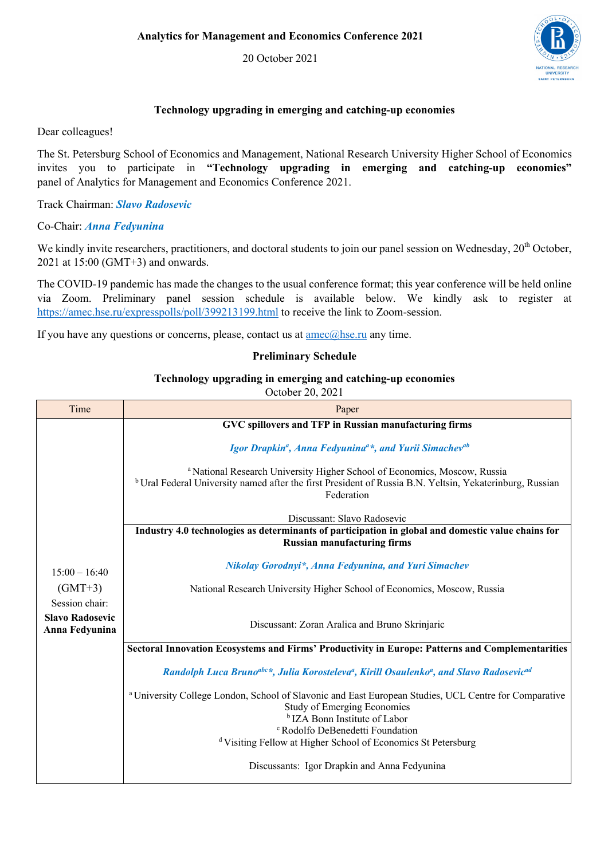20 October 2021



## **Technology upgrading in emerging and catching-up economies**

Dear colleagues!

The St. Petersburg School of Economics and Management, National Research University Higher School of Economics invites you to participate in **"Technology upgrading in emerging and catching-up economies"**  panel of Analytics for Management and Economics Conference 2021.

Track Chairman: *Slavo Radosevic*

Co-Chair: *Anna Fedyunina*

We kindly invite researchers, practitioners, and doctoral students to join our panel session on Wednesday, 20<sup>th</sup> October, 2021 at 15:00 (GMT+3) and onwards.

The COVID-19 pandemic has made the changes to the usual conference format; this year conference will be held online via Zoom. Preliminary panel session schedule is available below. We kindly ask to register at https://amec.hse.ru/expresspolls/poll/399213199.html to receive the link to Zoom-session.

If you have any questions or concerns, please, contact us at  $\frac{ame(@hse.ru)}{ame}$  any time.

## **Preliminary Schedule**

## **Technology upgrading in emerging and catching-up economies**

October 20, 2021

| Time                                                       | Paper                                                                                                                                                                                                                     |
|------------------------------------------------------------|---------------------------------------------------------------------------------------------------------------------------------------------------------------------------------------------------------------------------|
|                                                            | GVC spillovers and TFP in Russian manufacturing firms                                                                                                                                                                     |
|                                                            | Igor Drapkin <sup>a</sup> , Anna Fedyunina <sup>a*</sup> , and Yurii Simachev <sup>ab</sup>                                                                                                                               |
|                                                            | <sup>a</sup> National Research University Higher School of Economics, Moscow, Russia<br><sup>b</sup> Ural Federal University named after the first President of Russia B.N. Yeltsin, Yekaterinburg, Russian<br>Federation |
|                                                            | Discussant: Slavo Radosevic                                                                                                                                                                                               |
|                                                            | Industry 4.0 technologies as determinants of participation in global and domestic value chains for<br><b>Russian manufacturing firms</b>                                                                                  |
| $15:00 - 16:40$                                            | Nikolay Gorodnyi*, Anna Fedyunina, and Yuri Simachev                                                                                                                                                                      |
| $(GMT+3)$                                                  | National Research University Higher School of Economics, Moscow, Russia                                                                                                                                                   |
| Session chair:<br><b>Slavo Radosevic</b><br>Anna Fedyunina | Discussant: Zoran Aralica and Bruno Skrinjaric                                                                                                                                                                            |
|                                                            | Sectoral Innovation Ecosystems and Firms' Productivity in Europe: Patterns and Complementarities                                                                                                                          |
|                                                            | Randolph Luca Bruno <sup>abe</sup> *, Julia Korosteleva <sup>a</sup> , Kirill Osaulenko <sup>a</sup> , and Slavo Radosevic <sup>ad</sup>                                                                                  |
|                                                            | a University College London, School of Slavonic and East European Studies, UCL Centre for Comparative<br><b>Study of Emerging Economies</b><br><sup>b</sup> IZA Bonn Institute of Labor                                   |
|                                                            | <sup>c</sup> Rodolfo DeBenedetti Foundation<br><sup>d</sup> Visiting Fellow at Higher School of Economics St Petersburg                                                                                                   |
|                                                            |                                                                                                                                                                                                                           |
|                                                            | Discussants: Igor Drapkin and Anna Fedyunina                                                                                                                                                                              |